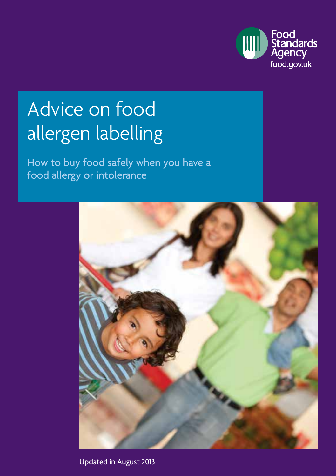

# Advice on food allergen labelling

How to buy food safely when you have a food allergy or intolerance



Updated in August 2013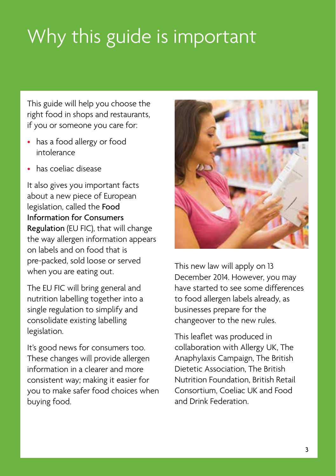# Why this guide is important

This guide will help you choose the right food in shops and restaurants, if you or someone you care for:

- has a food allergy or food intolerance
- has coeliac disease

It also gives you important facts about a new piece of European legislation, called the Food Information for Consumers Regulation (EU FIC), that will change the way allergen information appears on labels and on food that is pre‑packed, sold loose or served when you are eating out.

The EU FIC will bring general and nutrition labelling together into a single regulation to simplify and consolidate existing labelling legislation.

It's good news for consumers too. These changes will provide allergen information in a clearer and more consistent way; making it easier for you to make safer food choices when buying food.



This new law will apply on 13 December 2014. However, you may have started to see some differences to food allergen labels already, as businesses prepare for the changeover to the new rules.

This leaflet was produced in collaboration with Allergy UK, The Anaphylaxis Campaign, The British Dietetic Association, The British Nutrition Foundation, British Retail Consortium, Coeliac UK and Food and Drink Federation.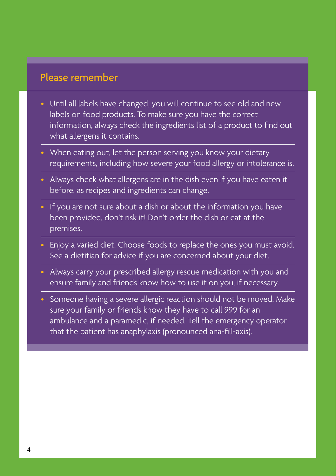### Please remember

- Until all labels have changed, you will continue to see old and new labels on food products. To make sure you have the correct information, always check the ingredients list of a product to find out what allergens it contains.
- When eating out, let the person serving you know your dietary requirements, including how severe your food allergy or intolerance is.
- Always check what allergens are in the dish even if you have eaten it before, as recipes and ingredients can change.
- If you are not sure about a dish or about the information you have been provided, don't risk it! Don't order the dish or eat at the premises.
- Enjoy a varied diet. Choose foods to replace the ones you must avoid. See a dietitian for advice if you are concerned about your diet.
- Always carry your prescribed allergy rescue medication with you and ensure family and friends know how to use it on you, if necessary.
- Someone having a severe allergic reaction should not be moved. Make sure your family or friends know they have to call 999 for an ambulance and a paramedic, if needed. Tell the emergency operator that the patient has anaphylaxis (pronounced ana-fill-axis).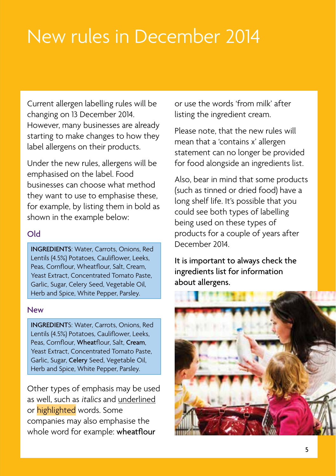# New rules in December 2014

Current allergen labelling rules will be changing on 13 December 2014. However, many businesses are already starting to make changes to how they label allergens on their products.

Under the new rules, allergens will be emphasised on the label. Food businesses can choose what method they want to use to emphasise these, for example, by listing them in bold as shown in the example below:

#### Old

INGREDIENTS: Water, Carrots, Onions, Red Lentils (4.5%) Potatoes, Cauliflower, Leeks, Peas, Cornflour, Wheatflour, Salt, Cream, Yeast Extract, Concentrated Tomato Paste, Garlic, Sugar, Celery Seed, Vegetable Oil, Herb and Spice, White Pepper, Parsley.

#### New

INGREDIENTS: Water, Carrots, Onions, Red Lentils (4.5%) Potatoes, Cauliflower, Leeks, Peas, Cornflour, Wheatflour, Salt, Cream Yeast Extract, Concentrated Tomato Paste, Garlic, Sugar, Celery Seed, Vegetable Oil, Herb and Spice, White Pepper, Parsley.

Other types of emphasis may be used as well, such as italics and underlined or highlighted words. Some companies may also emphasise the whole word for example: wheatflour

or use the words 'from milk' after listing the ingredient cream.

Please note, that the new rules will mean that a 'contains x' allergen statement can no longer be provided for food alongside an ingredients list.

Also, bear in mind that some products (such as tinned or dried food) have a long shelf life. It's possible that you could see both types of labelling being used on these types of products for a couple of years after December 2014.

It is important to always check the ingredients list for information about allergens.

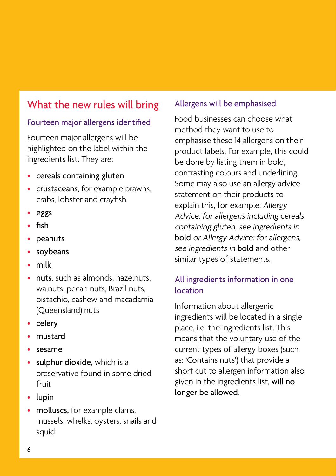## What the new rules will bring

### Fourteen major allergens identified

Fourteen major allergens will be highlighted on the label within the ingredients list. They are:

- cereals containing gluten
- crustaceans, for example prawns, crabs, lobster and crayfish
- eggs
- fish
- peanuts
- soybeans
- milk
- nuts, such as almonds, hazelnuts, walnuts, pecan nuts, Brazil nuts, pistachio, cashew and macadamia (Queensland) nuts
- celery
- mustard
- sesame
- sulphur dioxide, which is a preservative found in some dried fruit
- lupin
- molluscs, for example clams, mussels, whelks, oysters, snails and squid

#### Allergens will be emphasised

Food businesses can choose what method they want to use to emphasise these 14 allergens on their product labels. For example, this could be done by listing them in bold, contrasting colours and underlining. Some may also use an allergy advice statement on their products to explain this, for example: Allergy Advice: for allergens including cereals containing gluten, see ingredients in bold or Allergy Advice: for allergens, see ingredients in **bold** and other similar types of statements.

### All ingredients information in one location

Information about allergenic ingredients will be located in a single place, i.e. the ingredients list. This means that the voluntary use of the current types of allergy boxes (such as: 'Contains nuts') that provide a short cut to allergen information also given in the ingredients list, will no longer be allowed.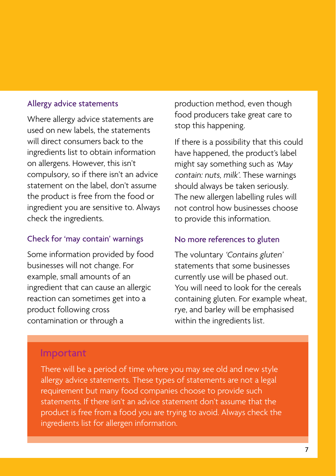#### Allergy advice statements

Where allergy advice statements are used on new labels, the statements will direct consumers back to the ingredients list to obtain information on allergens. However, this isn't compulsory, so if there isn't an advice statement on the label, don't assume the product is free from the food or ingredient you are sensitive to. Always check the ingredients.

#### Check for 'may contain' warnings

Some information provided by food businesses will not change. For example, small amounts of an ingredient that can cause an allergic reaction can sometimes get into a product following cross contamination or through a

production method, even though food producers take great care to stop this happening.

If there is a possibility that this could have happened, the product's label might say something such as 'May contain: nuts, milk'. These warnings should always be taken seriously. The new allergen labelling rules will not control how businesses choose to provide this information.

#### No more references to gluten

The voluntary 'Contains gluten' statements that some businesses currently use will be phased out. You will need to look for the cereals containing gluten. For example wheat, rye, and barley will be emphasised within the ingredients list.

### Important

There will be a period of time where you may see old and new style allergy advice statements. These types of statements are not a legal requirement but many food companies choose to provide such statements. If there isn't an advice statement don't assume that the product is free from a food you are trying to avoid. Always check the ingredients list for allergen information.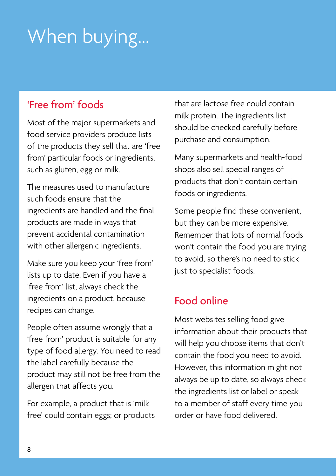# When buying...

## 'Free from' foods

Most of the major supermarkets and food service providers produce lists of the products they sell that are 'free from' particular foods or ingredients, such as gluten, egg or milk.

The measures used to manufacture such foods ensure that the ingredients are handled and the final products are made in ways that prevent accidental contamination with other allergenic ingredients.

Make sure you keep your 'free from' lists up to date. Even if you have a 'free from' list, always check the ingredients on a product, because recipes can change.

People often assume wrongly that a 'free from' product is suitable for any type of food allergy. You need to read the label carefully because the product may still not be free from the allergen that affects you.

For example, a product that is 'milk free' could contain eggs; or products that are lactose free could contain milk protein. The ingredients list should be checked carefully before purchase and consumption.

Many supermarkets and health-food shops also sell special ranges of products that don't contain certain foods or ingredients.

Some people find these convenient, but they can be more expensive. Remember that lots of normal foods won't contain the food you are trying to avoid, so there's no need to stick just to specialist foods.

## Food online

Most websites selling food give information about their products that will help you choose items that don't contain the food you need to avoid. However, this information might not always be up to date, so always check the ingredients list or label or speak to a member of staff every time you order or have food delivered.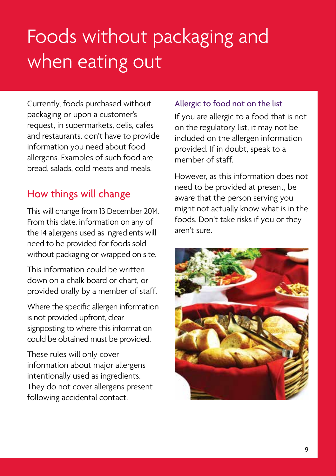# Foods without packaging and when eating out

Currently, foods purchased without packaging or upon a customer's request, in supermarkets, delis, cafes and restaurants, don't have to provide information you need about food allergens. Examples of such food are bread, salads, cold meats and meals.

## How things will change

This will change from 13 December 2014. From this date, information on any of the 14 allergens used as ingredients will need to be provided for foods sold without packaging or wrapped on site.

This information could be written down on a chalk board or chart, or provided orally by a member of staff.

Where the specific allergen information is not provided upfront, clear signposting to where this information could be obtained must be provided.

These rules will only cover information about major allergens intentionally used as ingredients. They do not cover allergens present following accidental contact.

### Allergic to food not on the list

If you are allergic to a food that is not on the regulatory list, it may not be included on the allergen information provided. If in doubt, speak to a member of staff.

However, as this information does not need to be provided at present, be aware that the person serving you might not actually know what is in the foods. Don't take risks if you or they aren't sure.

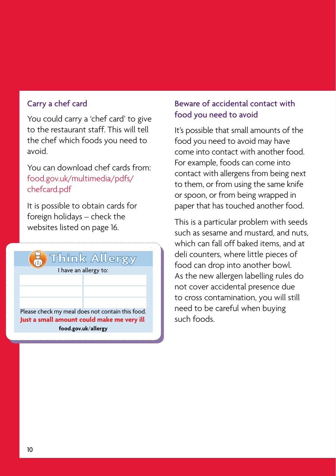### Carry a chef card

You could carry a 'chef card' to give to the restaurant staff. This will tell the chef which foods you need to avoid.

You can download chef cards from: [food.gov.uk/multimedia/pdfs/](http://food.gov.uk/multimedia/pdfs/) chefcard.pdf

It is possible to obtain cards for foreign holidays – check the websites listed on page 16.



#### Beware of accidental contact with food you need to avoid

It's possible that small amounts of the food you need to avoid may have come into contact with another food. For example, foods can come into contact with allergens from being next to them, or from using the same knife or spoon, or from being wrapped in paper that has touched another food.

This is a particular problem with seeds such as sesame and mustard, and nuts, which can fall off baked items, and at deli counters, where little pieces of food can drop into another bowl. As the new allergen labelling rules do not cover accidental presence due to cross contamination, you will still need to be careful when buying such foods.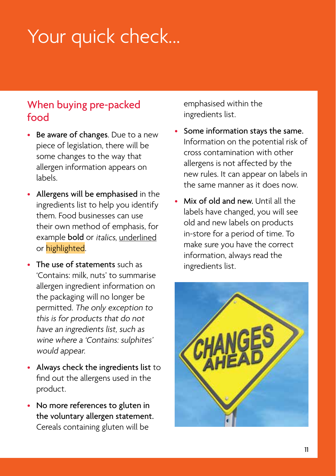# Your quick check...

## When buying pre-packed food

- Be aware of changes. Due to a new piece of legislation, there will be some changes to the way that allergen information appears on labels.
- Allergens will be emphasised in the ingredients list to help you identify them. Food businesses can use their own method of emphasis, for example bold or italics, underlined or highlighted.
- The use of statements such as 'Contains: milk, nuts' to summarise allergen ingredient information on the packaging will no longer be permitted. The only exception to this is for products that do not have an ingredients list, such as wine where a 'Contains: sulphites' would appear.
- Always check the ingredients list to find out the allergens used in the product.
- No more references to gluten in the voluntary allergen statement. Cereals containing gluten will be

emphasised within the ingredients list.

- Some information stays the same. Information on the potential risk of cross contamination with other allergens is not affected by the new rules. It can appear on labels in the same manner as it does now.
- Mix of old and new. Until all the labels have changed, you will see old and new labels on products in-store for a period of time. To make sure you have the correct information, always read the ingredients list.

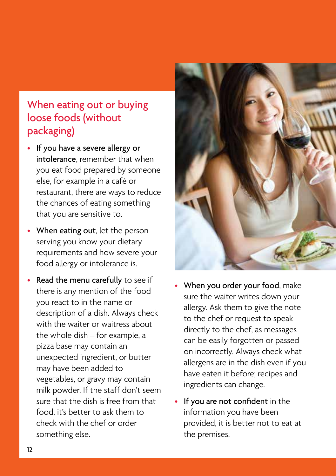## When eating out or buying loose foods (without packaging)

- If you have a severe allergy or intolerance, remember that when you eat food prepared by someone else, for example in a café or restaurant, there are ways to reduce the chances of eating something that you are sensitive to.
- When eating out, let the person serving you know your dietary requirements and how severe your food allergy or intolerance is.
- Read the menu carefully to see if there is any mention of the food you react to in the name or description of a dish. Always check with the waiter or waitress about the whole dish – for example, a pizza base may contain an unexpected ingredient, or butter may have been added to vegetables, or gravy may contain milk powder. If the staff don't seem sure that the dish is free from that food, it's better to ask them to check with the chef or order something else.



- When you order your food, make sure the waiter writes down your allergy. Ask them to give the note to the chef or request to speak directly to the chef, as messages can be easily forgotten or passed on incorrectly. Always check what allergens are in the dish even if you have eaten it before; recipes and ingredients can change.
- If you are not confident in the information you have been provided, it is better not to eat at the premises.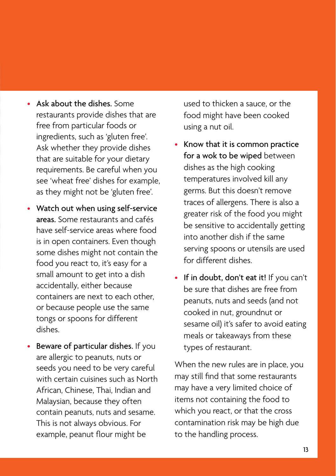- Ask about the dishes. Some restaurants provide dishes that are free from particular foods or ingredients, such as 'gluten free'. Ask whether they provide dishes that are suitable for your dietary requirements. Be careful when you see 'wheat free' dishes for example, as they might not be 'gluten free'.
- Watch out when using self-service areas. Some restaurants and cafés have self-service areas where food is in open containers. Even though some dishes might not contain the food you react to, it's easy for a small amount to get into a dish accidentally, either because containers are next to each other, or because people use the same tongs or spoons for different dishes.
- Beware of particular dishes. If you are allergic to peanuts, nuts or seeds you need to be very careful with certain cuisines such as North African, Chinese, Thai, Indian and Malaysian, because they often contain peanuts, nuts and sesame. This is not always obvious. For example, peanut flour might be

used to thicken a sauce, or the food might have been cooked using a nut oil.

- Know that it is common practice for a wok to be wiped between dishes as the high cooking temperatures involved kill any germs. But this doesn't remove traces of allergens. There is also a greater risk of the food you might be sensitive to accidentally getting into another dish if the same serving spoons or utensils are used for different dishes.
- If in doubt, don't eat it! If you can't be sure that dishes are free from peanuts, nuts and seeds (and not cooked in nut, groundnut or sesame oil) it's safer to avoid eating meals or takeaways from these types of restaurant.

When the new rules are in place, you may still find that some restaurants may have a very limited choice of items not containing the food to which you react, or that the cross contamination risk may be high due to the handling process.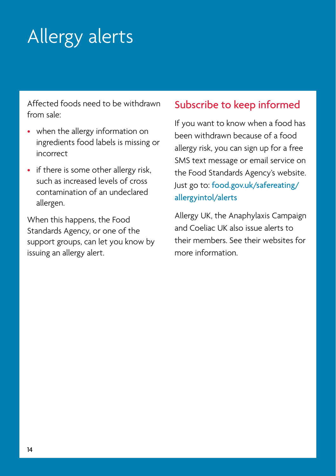# Allergy alerts

Affected foods need to be withdrawn from sale:

- when the allergy information on ingredients food labels is missing or incorrect
- if there is some other allergy risk, such as increased levels of cross contamination of an undeclared allergen.

When this happens, the Food Standards Agency, or one of the support groups, can let you know by issuing an allergy alert.

## Subscribe to keep informed

If you want to know when a food has been withdrawn because of a food allergy risk, you can sign up for a free SMS text message or email service on the Food Standards Agency's website. Just go to: [food.gov.uk/safereating/](food.gov.uk/safereating/allergyintol/alerts) allergyintol/alerts

Allergy UK, the Anaphylaxis Campaign and Coeliac UK also issue alerts to their members. See their websites for more information.